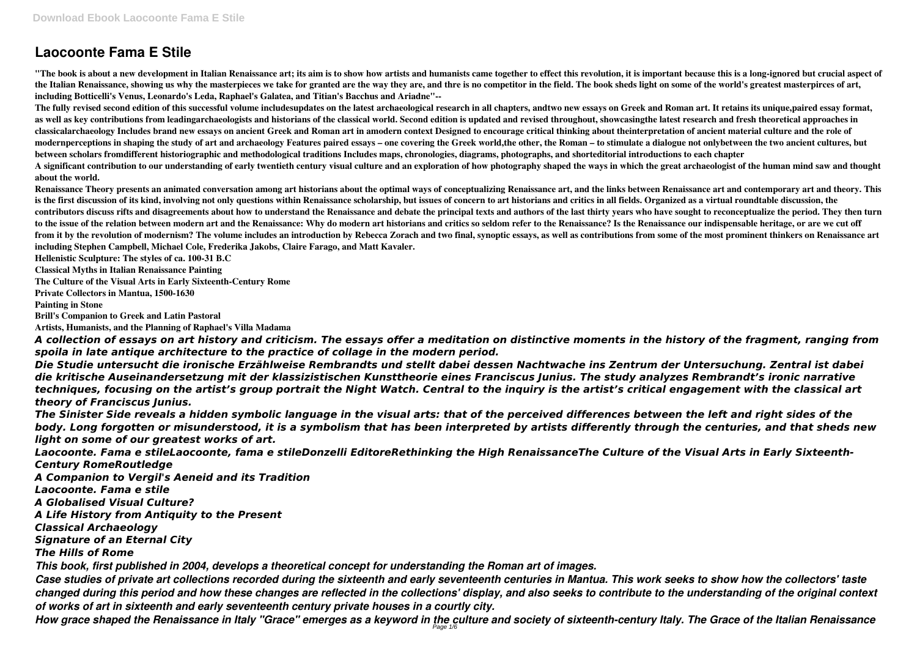# **Laocoonte Fama E Stile**

"The book is about a new development in Italian Renaissance art; its aim is to show how artists and humanists came together to effect this revolution, it is important because this is a long-ignored but crucial aspect of **the Italian Renaissance, showing us why the masterpieces we take for granted are the way they are, and thre is no competitor in the field. The book sheds light on some of the world's greatest masterpirces of art, including Botticelli's Venus, Leonardo's Leda, Raphael's Galatea, and Titian's Bacchus and Ariadne"--**

**The fully revised second edition of this successful volume includesupdates on the latest archaeological research in all chapters, andtwo new essays on Greek and Roman art. It retains its unique,paired essay format, as well as key contributions from leadingarchaeologists and historians of the classical world. Second edition is updated and revised throughout, showcasingthe latest research and fresh theoretical approaches in classicalarchaeology Includes brand new essays on ancient Greek and Roman art in amodern context Designed to encourage critical thinking about theinterpretation of ancient material culture and the role of modernperceptions in shaping the study of art and archaeology Features paired essays – one covering the Greek world,the other, the Roman – to stimulate a dialogue not onlybetween the two ancient cultures, but between scholars fromdifferent historiographic and methodological traditions Includes maps, chronologies, diagrams, photographs, and shorteditorial introductions to each chapter A significant contribution to our understanding of early twentieth century visual culture and an exploration of how photography shaped the ways in which the great archaeologist of the human mind saw and thought about the world.**

**Renaissance Theory presents an animated conversation among art historians about the optimal ways of conceptualizing Renaissance art, and the links between Renaissance art and contemporary art and theory. This is the first discussion of its kind, involving not only questions within Renaissance scholarship, but issues of concern to art historians and critics in all fields. Organized as a virtual roundtable discussion, the contributors discuss rifts and disagreements about how to understand the Renaissance and debate the principal texts and authors of the last thirty years who have sought to reconceptualize the period. They then turn to the issue of the relation between modern art and the Renaissance: Why do modern art historians and critics so seldom refer to the Renaissance? Is the Renaissance our indispensable heritage, or are we cut off from it by the revolution of modernism? The volume includes an introduction by Rebecca Zorach and two final, synoptic essays, as well as contributions from some of the most prominent thinkers on Renaissance art including Stephen Campbell, Michael Cole, Frederika Jakobs, Claire Farago, and Matt Kavaler.**

**Hellenistic Sculpture: The styles of ca. 100-31 B.C**

**Classical Myths in Italian Renaissance Painting**

**The Culture of the Visual Arts in Early Sixteenth-Century Rome**

**Private Collectors in Mantua, 1500-1630**

**Painting in Stone**

**Brill's Companion to Greek and Latin Pastoral**

**Artists, Humanists, and the Planning of Raphael's Villa Madama**

*A collection of essays on art history and criticism. The essays offer a meditation on distinctive moments in the history of the fragment, ranging from spoila in late antique architecture to the practice of collage in the modern period.*

*Die Studie untersucht die ironische Erzählweise Rembrandts und stellt dabei dessen Nachtwache ins Zentrum der Untersuchung. Zentral ist dabei die kritische Auseinandersetzung mit der klassizistischen Kunsttheorie eines Franciscus Junius. The study analyzes Rembrandt's ironic narrative techniques, focusing on the artist's group portrait the Night Watch. Central to the inquiry is the artist's critical engagement with the classical art theory of Franciscus Junius.*

*The Sinister Side reveals a hidden symbolic language in the visual arts: that of the perceived differences between the left and right sides of the body. Long forgotten or misunderstood, it is a symbolism that has been interpreted by artists differently through the centuries, and that sheds new light on some of our greatest works of art.*

*Laocoonte. Fama e stileLaocoonte, fama e stileDonzelli EditoreRethinking the High RenaissanceThe Culture of the Visual Arts in Early Sixteenth-Century RomeRoutledge*

*A Companion to Vergil's Aeneid and its Tradition*

*Laocoonte. Fama e stile*

*A Globalised Visual Culture?*

*A Life History from Antiquity to the Present*

*Classical Archaeology*

*Signature of an Eternal City*

*The Hills of Rome*

*This book, first published in 2004, develops a theoretical concept for understanding the Roman art of images.*

*Case studies of private art collections recorded during the sixteenth and early seventeenth centuries in Mantua. This work seeks to show how the collectors' taste changed during this period and how these changes are reflected in the collections' display, and also seeks to contribute to the understanding of the original context of works of art in sixteenth and early seventeenth century private houses in a courtly city.*

*How grace shaped the Renaissance in Italy "Grace" emerges as a keyword in the culture and society of sixteenth-century Italy. The Grace of the Italian Renaissance* Page 1/6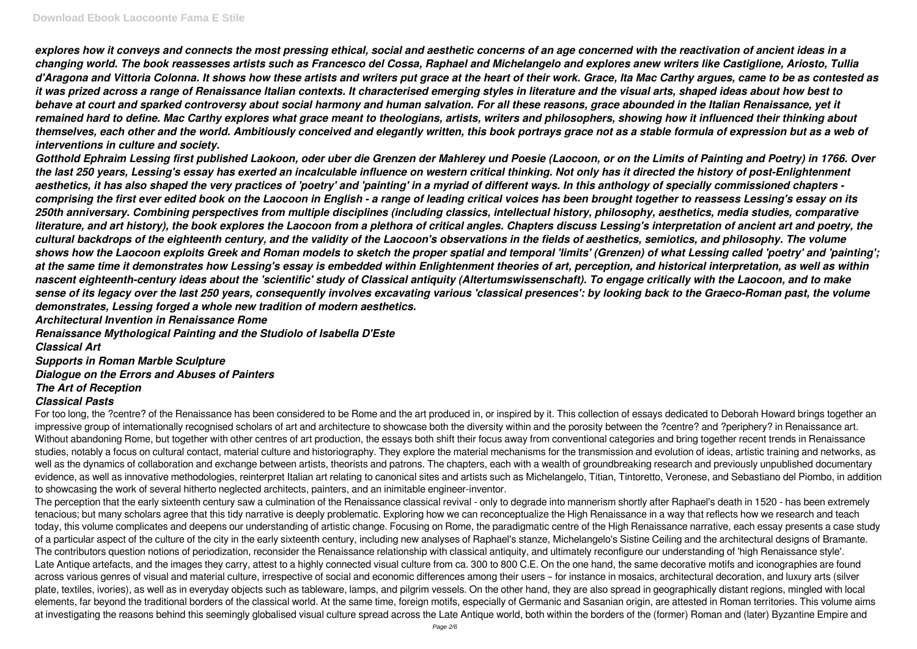*explores how it conveys and connects the most pressing ethical, social and aesthetic concerns of an age concerned with the reactivation of ancient ideas in a changing world. The book reassesses artists such as Francesco del Cossa, Raphael and Michelangelo and explores anew writers like Castiglione, Ariosto, Tullia d'Aragona and Vittoria Colonna. It shows how these artists and writers put grace at the heart of their work. Grace, Ita Mac Carthy argues, came to be as contested as it was prized across a range of Renaissance Italian contexts. It characterised emerging styles in literature and the visual arts, shaped ideas about how best to behave at court and sparked controversy about social harmony and human salvation. For all these reasons, grace abounded in the Italian Renaissance, yet it remained hard to define. Mac Carthy explores what grace meant to theologians, artists, writers and philosophers, showing how it influenced their thinking about themselves, each other and the world. Ambitiously conceived and elegantly written, this book portrays grace not as a stable formula of expression but as a web of interventions in culture and society.*

*Gotthold Ephraim Lessing first published Laokoon, oder uber die Grenzen der Mahlerey und Poesie (Laocoon, or on the Limits of Painting and Poetry) in 1766. Over the last 250 years, Lessing's essay has exerted an incalculable influence on western critical thinking. Not only has it directed the history of post-Enlightenment aesthetics, it has also shaped the very practices of 'poetry' and 'painting' in a myriad of different ways. In this anthology of specially commissioned chapters comprising the first ever edited book on the Laocoon in English - a range of leading critical voices has been brought together to reassess Lessing's essay on its 250th anniversary. Combining perspectives from multiple disciplines (including classics, intellectual history, philosophy, aesthetics, media studies, comparative literature, and art history), the book explores the Laocoon from a plethora of critical angles. Chapters discuss Lessing's interpretation of ancient art and poetry, the cultural backdrops of the eighteenth century, and the validity of the Laocoon's observations in the fields of aesthetics, semiotics, and philosophy. The volume shows how the Laocoon exploits Greek and Roman models to sketch the proper spatial and temporal 'limits' (Grenzen) of what Lessing called 'poetry' and 'painting'; at the same time it demonstrates how Lessing's essay is embedded within Enlightenment theories of art, perception, and historical interpretation, as well as within nascent eighteenth-century ideas about the 'scientific' study of Classical antiquity (Altertumswissenschaft). To engage critically with the Laocoon, and to make sense of its legacy over the last 250 years, consequently involves excavating various 'classical presences': by looking back to the Graeco-Roman past, the volume demonstrates, Lessing forged a whole new tradition of modern aesthetics.*

For too long, the ?centre? of the Renaissance has been considered to be Rome and the art produced in, or inspired by it. This collection of essays dedicated to Deborah Howard brings together an impressive group of internationally recognised scholars of art and architecture to showcase both the diversity within and the porosity between the ?centre? and ?periphery? in Renaissance art. Without abandoning Rome, but together with other centres of art production, the essays both shift their focus away from conventional categories and bring together recent trends in Renaissance studies, notably a focus on cultural contact, material culture and historiography. They explore the material mechanisms for the transmission and evolution of ideas, artistic training and networks, as well as the dynamics of collaboration and exchange between artists, theorists and patrons. The chapters, each with a wealth of groundbreaking research and previously unpublished documentary evidence, as well as innovative methodologies, reinterpret Italian art relating to canonical sites and artists such as Michelangelo, Titian, Tintoretto, Veronese, and Sebastiano del Piombo, in addition to showcasing the work of several hitherto neglected architects, painters, and an inimitable engineer-inventor.

*Architectural Invention in Renaissance Rome*

*Renaissance Mythological Painting and the Studiolo of Isabella D'Este*

*Classical Art Supports in Roman Marble Sculpture Dialogue on the Errors and Abuses of Painters The Art of Reception*

### *Classical Pasts*

The perception that the early sixteenth century saw a culmination of the Renaissance classical revival - only to degrade into mannerism shortly after Raphael's death in 1520 - has been extremely tenacious; but many scholars agree that this tidy narrative is deeply problematic. Exploring how we can reconceptualize the High Renaissance in a way that reflects how we research and teach today, this volume complicates and deepens our understanding of artistic change. Focusing on Rome, the paradigmatic centre of the High Renaissance narrative, each essay presents a case study of a particular aspect of the culture of the city in the early sixteenth century, including new analyses of Raphael's stanze, Michelangelo's Sistine Ceiling and the architectural designs of Bramante. The contributors question notions of periodization, reconsider the Renaissance relationship with classical antiquity, and ultimately reconfigure our understanding of 'high Renaissance style'. Late Antique artefacts, and the images they carry, attest to a highly connected visual culture from ca. 300 to 800 C.E. On the one hand, the same decorative motifs and iconographies are found across various genres of visual and material culture, irrespective of social and economic differences among their users – for instance in mosaics, architectural decoration, and luxury arts (silver plate, textiles, ivories), as well as in everyday objects such as tableware, lamps, and pilgrim vessels. On the other hand, they are also spread in geographically distant regions, mingled with local elements, far beyond the traditional borders of the classical world. At the same time, foreign motifs, especially of Germanic and Sasanian origin, are attested in Roman territories. This volume aims at investigating the reasons behind this seemingly globalised visual culture spread across the Late Antique world, both within the borders of the (former) Roman and (later) Byzantine Empire and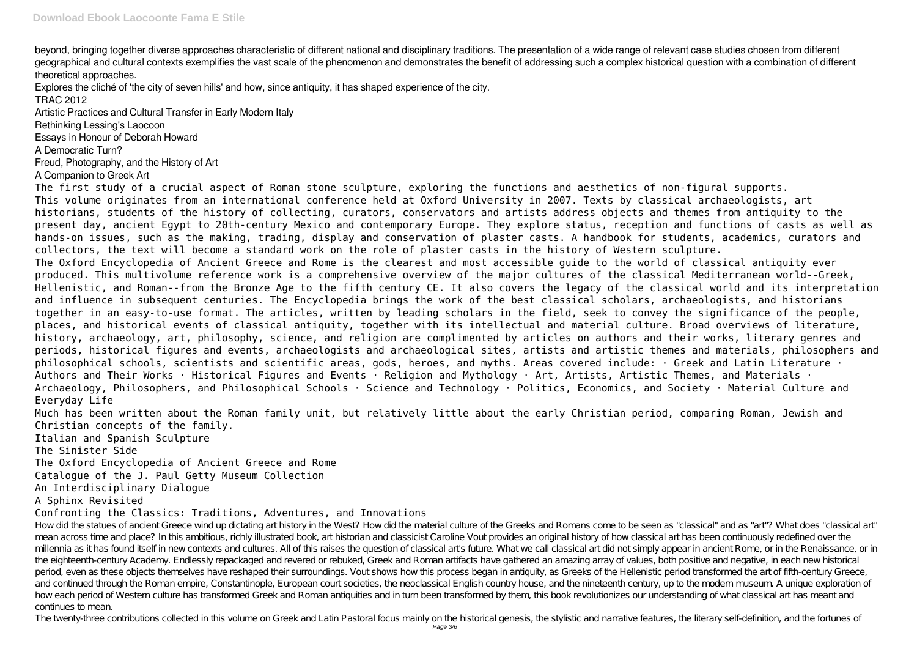beyond, bringing together diverse approaches characteristic of different national and disciplinary traditions. The presentation of a wide range of relevant case studies chosen from different geographical and cultural contexts exemplifies the vast scale of the phenomenon and demonstrates the benefit of addressing such a complex historical question with a combination of different theoretical approaches.

Explores the cliché of 'the city of seven hills' and how, since antiquity, it has shaped experience of the city.

TRAC 2012

Artistic Practices and Cultural Transfer in Early Modern Italy

Rethinking Lessing's Laocoon

Essays in Honour of Deborah Howard

A Democratic Turn?

Freud, Photography, and the History of Art

A Companion to Greek Art

The first study of a crucial aspect of Roman stone sculpture, exploring the functions and aesthetics of non-figural supports. This volume originates from an international conference held at Oxford University in 2007. Texts by classical archaeologists, art historians, students of the history of collecting, curators, conservators and artists address objects and themes from antiquity to the present day, ancient Egypt to 20th-century Mexico and contemporary Europe. They explore status, reception and functions of casts as well as hands-on issues, such as the making, trading, display and conservation of plaster casts. A handbook for students, academics, curators and collectors, the text will become a standard work on the role of plaster casts in the history of Western sculpture. The Oxford Encyclopedia of Ancient Greece and Rome is the clearest and most accessible guide to the world of classical antiquity ever produced. This multivolume reference work is a comprehensive overview of the major cultures of the classical Mediterranean world--Greek, Hellenistic, and Roman--from the Bronze Age to the fifth century CE. It also covers the legacy of the classical world and its interpretation and influence in subsequent centuries. The Encyclopedia brings the work of the best classical scholars, archaeologists, and historians together in an easy-to-use format. The articles, written by leading scholars in the field, seek to convey the significance of the people, places, and historical events of classical antiquity, together with its intellectual and material culture. Broad overviews of literature, history, archaeology, art, philosophy, science, and religion are complimented by articles on authors and their works, literary genres and periods, historical figures and events, archaeologists and archaeological sites, artists and artistic themes and materials, philosophers and philosophical schools, scientists and scientific areas, gods, heroes, and myths. Areas covered include: · Greek and Latin Literature · Authors and Their Works · Historical Figures and Events · Religion and Mythology · Art, Artists, Artistic Themes, and Materials · Archaeology, Philosophers, and Philosophical Schools · Science and Technology · Politics, Economics, and Society · Material Culture and Everyday Life

The twenty-three contributions collected in this volume on Greek and Latin Pastoral focus mainly on the historical genesis, the stylistic and narrative features, the literary self-definition, and the fortunes of Page 3/6

Much has been written about the Roman family unit, but relatively little about the early Christian period, comparing Roman, Jewish and Christian concepts of the family.

Italian and Spanish Sculpture

The Sinister Side

The Oxford Encyclopedia of Ancient Greece and Rome

Catalogue of the J. Paul Getty Museum Collection

# An Interdisciplinary Dialogue

A Sphinx Revisited

# Confronting the Classics: Traditions, Adventures, and Innovations

How did the statues of ancient Greece wind up dictating art history in the West? How did the material culture of the Greeks and Romans come to be seen as "classical" and as "art"? What does "classical art" mean across time and place? In this ambitious, richly illustrated book, art historian and classicist Caroline Vout provides an original history of how classical art has been continuously redefined over the millennia as it has found itself in new contexts and cultures. All of this raises the question of classical art's future. What we call classical art did not simply appear in ancient Rome, or in the Renaissance, or in the eighteenth-century Academy. Endlessly repackaged and revered or rebuked, Greek and Roman artifacts have gathered an amazing array of values, both positive and negative, in each new historical period, even as these objects themselves have reshaped their surroundings. Vout shows how this process began in antiquity, as Greeks of the Hellenistic period transformed the art of fifth-century Greece, and continued through the Roman empire, Constantinople, European court societies, the neoclassical English country house, and the nineteenth century, up to the modern museum. A unique exploration of how each period of Western culture has transformed Greek and Roman antiquities and in turn been transformed by them, this book revolutionizes our understanding of what classical art has meant and continues to mean.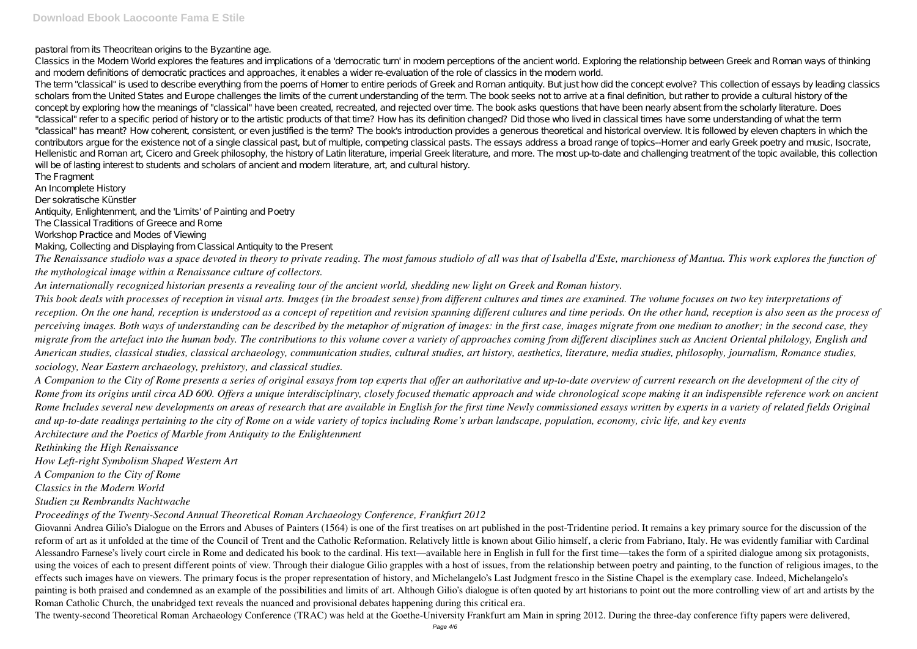pastoral from its Theocritean origins to the Byzantine age.

The term "classical" is used to describe everything from the poems of Homer to entire periods of Greek and Roman antiquity. But just how did the concept evolve? This collection of essays by leading classics scholars from the United States and Europe challenges the limits of the current understanding of the term. The book seeks not to arrive at a final definition, but rather to provide a cultural history of the concept by exploring how the meanings of "classical" have been created, recreated, and rejected over time. The book asks questions that have been nearly absent from the scholarly literature. Does "classical" refer to a specific period of history or to the artistic products of that time? How has its definition changed? Did those who lived in classical times have some understanding of what the term "classical" has meant? How coherent, consistent, or even justified is the term? The book's introduction provides a generous theoretical and historical overview. It is followed by eleven chapters in which the contributors argue for the existence not of a single classical past, but of multiple, competing classical pasts. The essays address a broad range of topics--Homer and early Greek poetry and music, Isocrate, Hellenistic and Roman art, Cicero and Greek philosophy, the history of Latin literature, imperial Greek literature, and more. The most up-to-date and challenging treatment of the topic available, this collection will be of lasting interest to students and scholars of ancient and modern literature, art, and cultural history.

Classics in the Modern World explores the features and implications of a 'democratic turn' in modern perceptions of the ancient world. Exploring the relationship between Greek and Roman ways of thinking and modern definitions of democratic practices and approaches, it enables a wider re-evaluation of the role of classics in the modern world.

The Fragment

An Incomplete History

Der sokratische Künstler

Antiquity, Enlightenment, and the 'Limits' of Painting and Poetry

The Classical Traditions of Greece and Rome

Workshop Practice and Modes of Viewing

Making, Collecting and Displaying from Classical Antiquity to the Present

*The Renaissance studiolo was a space devoted in theory to private reading. The most famous studiolo of all was that of Isabella d'Este, marchioness of Mantua. This work explores the function of the mythological image within a Renaissance culture of collectors.*

*An internationally recognized historian presents a revealing tour of the ancient world, shedding new light on Greek and Roman history.*

Giovanni Andrea Gilio's Dialogue on the Errors and Abuses of Painters (1564) is one of the first treatises on art published in the post-Tridentine period. It remains a key primary source for the discussion of the reform of art as it unfolded at the time of the Council of Trent and the Catholic Reformation. Relatively little is known about Gilio himself, a cleric from Fabriano, Italy. He was evidently familiar with Cardinal Alessandro Farnese's lively court circle in Rome and dedicated his book to the cardinal. His text—available here in English in full for the first time—takes the form of a spirited dialogue among six protagonists, using the voices of each to present different points of view. Through their dialogue Gilio grapples with a host of issues, from the relationship between poetry and painting, to the function of religious images, to the effects such images have on viewers. The primary focus is the proper representation of history, and Michelangelo's Last Judgment fresco in the Sistine Chapel is the exemplary case. Indeed, Michelangelo's painting is both praised and condemned as an example of the possibilities and limits of art. Although Gilio's dialogue is often quoted by art historians to point out the more controlling view of art and artists by the Roman Catholic Church, the unabridged text reveals the nuanced and provisional debates happening during this critical era.

*This book deals with processes of reception in visual arts. Images (in the broadest sense) from different cultures and times are examined. The volume focuses on two key interpretations of reception. On the one hand, reception is understood as a concept of repetition and revision spanning different cultures and time periods. On the other hand, reception is also seen as the process of perceiving images. Both ways of understanding can be described by the metaphor of migration of images: in the first case, images migrate from one medium to another; in the second case, they migrate from the artefact into the human body. The contributions to this volume cover a variety of approaches coming from different disciplines such as Ancient Oriental philology, English and American studies, classical studies, classical archaeology, communication studies, cultural studies, art history, aesthetics, literature, media studies, philosophy, journalism, Romance studies, sociology, Near Eastern archaeology, prehistory, and classical studies.*

*A Companion to the City of Rome presents a series of original essays from top experts that offer an authoritative and up-to-date overview of current research on the development of the city of Rome from its origins until circa AD 600. Offers a unique interdisciplinary, closely focused thematic approach and wide chronological scope making it an indispensible reference work on ancient Rome Includes several new developments on areas of research that are available in English for the first time Newly commissioned essays written by experts in a variety of related fields Original and up-to-date readings pertaining to the city of Rome on a wide variety of topics including Rome's urban landscape, population, economy, civic life, and key events Architecture and the Poetics of Marble from Antiquity to the Enlightenment*

*Rethinking the High Renaissance*

*How Left-right Symbolism Shaped Western Art*

*A Companion to the City of Rome*

*Classics in the Modern World*

*Studien zu Rembrandts Nachtwache*

*Proceedings of the Twenty-Second Annual Theoretical Roman Archaeology Conference, Frankfurt 2012*

The twenty-second Theoretical Roman Archaeology Conference (TRAC) was held at the Goethe-University Frankfurt am Main in spring 2012. During the three-day conference fifty papers were delivered,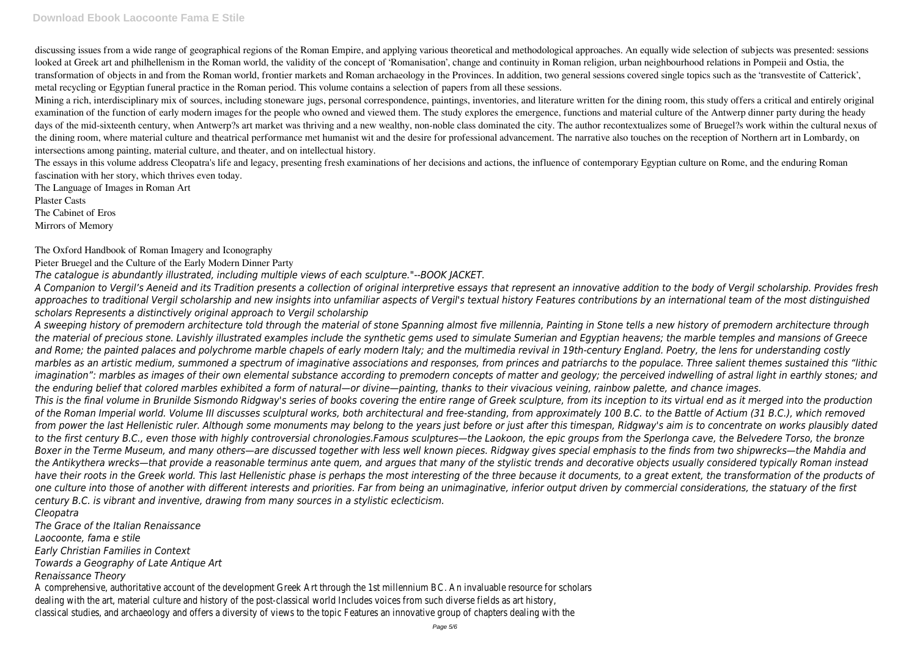discussing issues from a wide range of geographical regions of the Roman Empire, and applying various theoretical and methodological approaches. An equally wide selection of subjects was presented: sessions looked at Greek art and philhellenism in the Roman world, the validity of the concept of 'Romanisation', change and continuity in Roman religion, urban neighbourhood relations in Pompeii and Ostia, the transformation of objects in and from the Roman world, frontier markets and Roman archaeology in the Provinces. In addition, two general sessions covered single topics such as the 'transvestite of Catterick', metal recycling or Egyptian funeral practice in the Roman period. This volume contains a selection of papers from all these sessions.

Mining a rich, interdisciplinary mix of sources, including stoneware jugs, personal correspondence, paintings, inventories, and literature written for the dining room, this study offers a critical and entirely original examination of the function of early modern images for the people who owned and viewed them. The study explores the emergence, functions and material culture of the Antwerp dinner party during the heady days of the mid-sixteenth century, when Antwerp?s art market was thriving and a new wealthy, non-noble class dominated the city. The author recontextualizes some of Bruegel?s work within the cultural nexus of the dining room, where material culture and theatrical performance met humanist wit and the desire for professional advancement. The narrative also touches on the reception of Northern art in Lombardy, on intersections among painting, material culture, and theater, and on intellectual history.

The essays in this volume address Cleopatra's life and legacy, presenting fresh examinations of her decisions and actions, the influence of contemporary Egyptian culture on Rome, and the enduring Roman fascination with her story, which thrives even today.

The Language of Images in Roman Art

Plaster Casts

The Cabinet of Eros

Mirrors of Memory

The Oxford Handbook of Roman Imagery and Iconography

Pieter Bruegel and the Culture of the Early Modern Dinner Party

*The catalogue is abundantly illustrated, including multiple views of each sculpture."--BOOK JACKET.*

*A Companion to Vergil's Aeneid and its Tradition presents a collection of original interpretive essays that represent an innovative addition to the body of Vergil scholarship. Provides fresh approaches to traditional Vergil scholarship and new insights into unfamiliar aspects of Vergil's textual history Features contributions by an international team of the most distinguished scholars Represents a distinctively original approach to Vergil scholarship*

*A sweeping history of premodern architecture told through the material of stone Spanning almost five millennia, Painting in Stone tells a new history of premodern architecture through the material of precious stone. Lavishly illustrated examples include the synthetic gems used to simulate Sumerian and Egyptian heavens; the marble temples and mansions of Greece and Rome; the painted palaces and polychrome marble chapels of early modern Italy; and the multimedia revival in 19th-century England. Poetry, the lens for understanding costly marbles as an artistic medium, summoned a spectrum of imaginative associations and responses, from princes and patriarchs to the populace. Three salient themes sustained this "lithic imagination": marbles as images of their own elemental substance according to premodern concepts of matter and geology; the perceived indwelling of astral light in earthly stones; and the enduring belief that colored marbles exhibited a form of natural—or divine—painting, thanks to their vivacious veining, rainbow palette, and chance images. This is the final volume in Brunilde Sismondo Ridgway's series of books covering the entire range of Greek sculpture, from its inception to its virtual end as it merged into the production of the Roman Imperial world. Volume III discusses sculptural works, both architectural and free-standing, from approximately 100 B.C. to the Battle of Actium (31 B.C.), which removed from power the last Hellenistic ruler. Although some monuments may belong to the years just before or just after this timespan, Ridgway's aim is to concentrate on works plausibly dated to the first century B.C., even those with highly controversial chronologies.Famous sculptures—the Laokoon, the epic groups from the Sperlonga cave, the Belvedere Torso, the bronze Boxer in the Terme Museum, and many others—are discussed together with less well known pieces. Ridgway gives special emphasis to the finds from two shipwrecks—the Mahdia and the Antikythera wrecks—that provide a reasonable terminus ante quem, and argues that many of the stylistic trends and decorative objects usually considered typically Roman instead have their roots in the Greek world. This last Hellenistic phase is perhaps the most interesting of the three because it documents, to a great extent, the transformation of the products of one culture into those of another with different interests and priorities. Far from being an unimaginative, inferior output driven by commercial considerations, the statuary of the first century B.C. is vibrant and inventive, drawing from many sources in a stylistic eclecticism.*

*Cleopatra*

*The Grace of the Italian Renaissance*

*Laocoonte, fama e stile*

*Early Christian Families in Context*

*Towards a Geography of Late Antique Art*

*Renaissance Theory*

A comprehensive, authoritative account of the development Greek Art through the 1st millennium BC. An invaluable resource for scholars dealing with the art, material culture and history of the post-classical world Includes voices from such diverse fields as art history, classical studies, and archaeology and offers a diversity of views to the topic Features an innovative group of chapters dealing with the